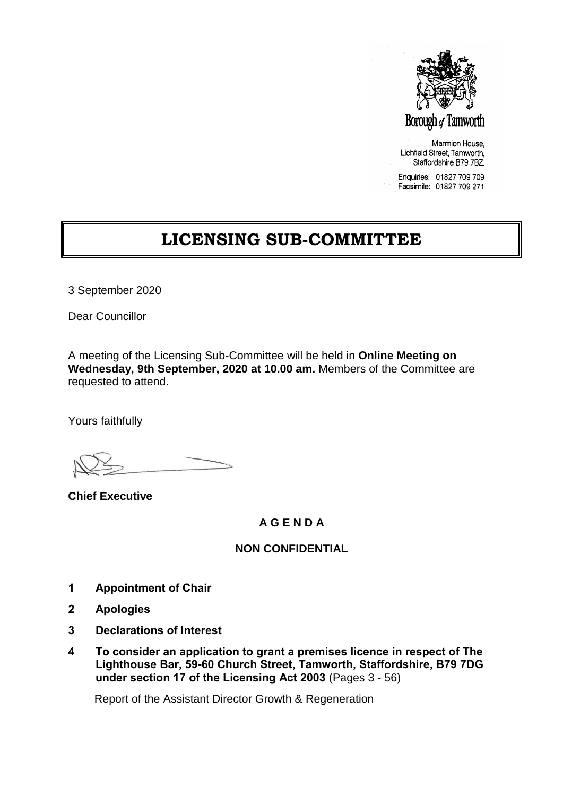

Marmion House. Lichfield Street, Tamworth, Staffordshire B79 7BZ.

Enquiries: 01827 709 709 Facsimile: 01827 709 271

# **LICENSING SUB-COMMITTEE**

3 September 2020

Dear Councillor

A meeting of the Licensing Sub-Committee will be held in **Online Meeting on Wednesday, 9th September, 2020 at 10.00 am.** Members of the Committee are requested to attend.

Yours faithfully

**Chief Executive**

## **A G E N D A**

## **NON CONFIDENTIAL**

- **1 Appointment of Chair**
- **2 Apologies**
- **3 Declarations of Interest**
- **4 To consider an application to grant a premises licence in respect of The Lighthouse Bar, 59-60 Church Street, Tamworth, Staffordshire, B79 7DG under section 17 of the Licensing Act 2003** (Pages 3 - 56)

Report of the Assistant Director Growth & Regeneration